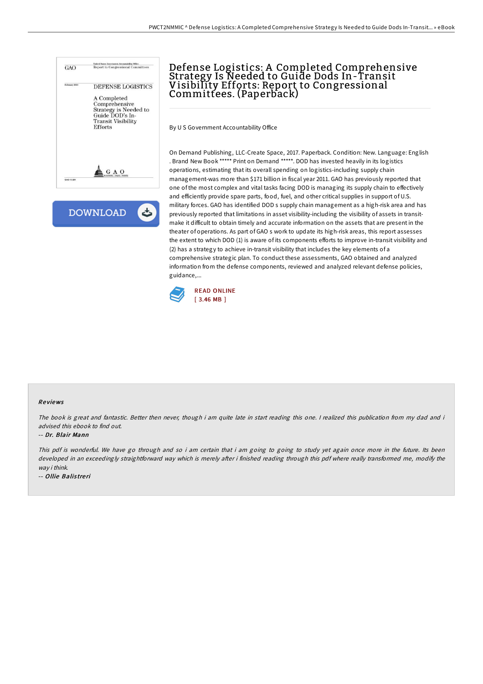



# Defense Logistics: A Completed Comprehensive Strategy Is Needed to Guide Dods In-Transit Visibility Efforts: Report to Congressional Committees. (Paperback)

By U S Government Accountability Office

On Demand Publishing, LLC-Create Space, 2017. Paperback. Condition: New. Language: English . Brand New Book \*\*\*\*\* Print on Demand \*\*\*\*\*. DOD has invested heavily in its logistics operations, estimating that its overall spending on logistics-including supply chain management-was more than \$171 billion in fiscal year 2011. GAO has previously reported that one of the most complex and vital tasks facing DOD is managing its supply chain to effectively and efficiently provide spare parts, food, fuel, and other critical supplies in support of U.S. military forces. GAO has identified DOD s supply chain management as a high-risk area and has previously reported that limitations in asset visibility-including the visibility of assets in transitmake it difficult to obtain timely and accurate information on the assets that are present in the theater of operations. As part of GAO s work to update its high-risk areas, this report assesses the extent to which DOD (1) is aware of its components efforts to improve in-transit visibility and (2) has a strategy to achieve in-transit visibility that includes the key elements of a comprehensive strategic plan. To conduct these assessments, GAO obtained and analyzed information from the defense components, reviewed and analyzed relevant defense policies, guidance,...



#### Re views

The book is great and fantastic. Better then never, though i am quite late in start reading this one. <sup>I</sup> realized this publication from my dad and i advised this ebook to find out.

#### -- Dr. Blair Mann

This pdf is wonderful. We have go through and so i am certain that i am going to going to study yet again once more in the future. Its been developed in an exceedingly straightforward way which is merely after i finished reading through this pdf where really transformed me, modify the way i think.

-- Ollie Balistreri